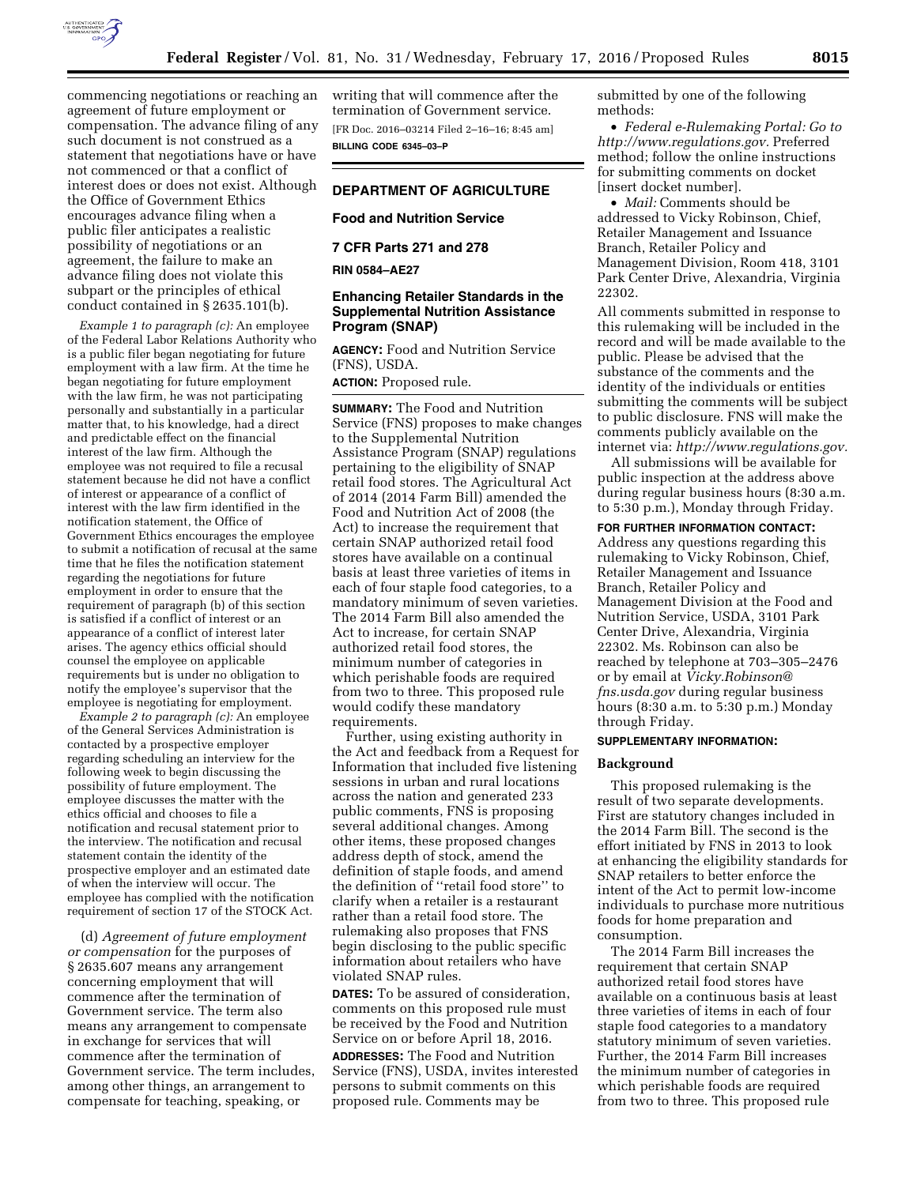

commencing negotiations or reaching an agreement of future employment or compensation. The advance filing of any such document is not construed as a statement that negotiations have or have not commenced or that a conflict of interest does or does not exist. Although the Office of Government Ethics encourages advance filing when a public filer anticipates a realistic possibility of negotiations or an agreement, the failure to make an advance filing does not violate this subpart or the principles of ethical

conduct contained in § 2635.101(b).

*Example 1 to paragraph (c):* An employee of the Federal Labor Relations Authority who is a public filer began negotiating for future employment with a law firm. At the time he began negotiating for future employment with the law firm, he was not participating personally and substantially in a particular matter that, to his knowledge, had a direct and predictable effect on the financial interest of the law firm. Although the employee was not required to file a recusal statement because he did not have a conflict of interest or appearance of a conflict of interest with the law firm identified in the notification statement, the Office of Government Ethics encourages the employee to submit a notification of recusal at the same time that he files the notification statement regarding the negotiations for future employment in order to ensure that the requirement of paragraph (b) of this section is satisfied if a conflict of interest or an appearance of a conflict of interest later arises. The agency ethics official should counsel the employee on applicable requirements but is under no obligation to notify the employee's supervisor that the employee is negotiating for employment.

*Example 2 to paragraph (c):* An employee of the General Services Administration is contacted by a prospective employer regarding scheduling an interview for the following week to begin discussing the possibility of future employment. The employee discusses the matter with the ethics official and chooses to file a notification and recusal statement prior to the interview. The notification and recusal statement contain the identity of the prospective employer and an estimated date of when the interview will occur. The employee has complied with the notification requirement of section 17 of the STOCK Act.

(d) *Agreement of future employment or compensation* for the purposes of § 2635.607 means any arrangement concerning employment that will commence after the termination of Government service. The term also means any arrangement to compensate in exchange for services that will commence after the termination of Government service. The term includes, among other things, an arrangement to compensate for teaching, speaking, or

writing that will commence after the termination of Government service. [FR Doc. 2016–03214 Filed 2–16–16; 8:45 am] **BILLING CODE 6345–03–P** 

# **DEPARTMENT OF AGRICULTURE**

# **Food and Nutrition Service**

**7 CFR Parts 271 and 278** 

**RIN 0584–AE27** 

# **Enhancing Retailer Standards in the Supplemental Nutrition Assistance Program (SNAP)**

**AGENCY:** Food and Nutrition Service (FNS), USDA.

**ACTION:** Proposed rule.

**SUMMARY:** The Food and Nutrition Service (FNS) proposes to make changes to the Supplemental Nutrition Assistance Program (SNAP) regulations pertaining to the eligibility of SNAP retail food stores. The Agricultural Act of 2014 (2014 Farm Bill) amended the Food and Nutrition Act of 2008 (the Act) to increase the requirement that certain SNAP authorized retail food stores have available on a continual basis at least three varieties of items in each of four staple food categories, to a mandatory minimum of seven varieties. The 2014 Farm Bill also amended the Act to increase, for certain SNAP authorized retail food stores, the minimum number of categories in which perishable foods are required from two to three. This proposed rule would codify these mandatory requirements.

Further, using existing authority in the Act and feedback from a Request for Information that included five listening sessions in urban and rural locations across the nation and generated 233 public comments, FNS is proposing several additional changes. Among other items, these proposed changes address depth of stock, amend the definition of staple foods, and amend the definition of ''retail food store'' to clarify when a retailer is a restaurant rather than a retail food store. The rulemaking also proposes that FNS begin disclosing to the public specific information about retailers who have violated SNAP rules.

**DATES:** To be assured of consideration, comments on this proposed rule must be received by the Food and Nutrition Service on or before April 18, 2016. **ADDRESSES:** The Food and Nutrition Service (FNS), USDA, invites interested persons to submit comments on this proposed rule. Comments may be

submitted by one of the following methods:

• *Federal e-Rulemaking Portal: Go to [http://www.regulations.gov.](http://www.regulations.gov)* Preferred method; follow the online instructions for submitting comments on docket [insert docket number].

• *Mail:* Comments should be addressed to Vicky Robinson, Chief, Retailer Management and Issuance Branch, Retailer Policy and Management Division, Room 418, 3101 Park Center Drive, Alexandria, Virginia 22302.

All comments submitted in response to this rulemaking will be included in the record and will be made available to the public. Please be advised that the substance of the comments and the identity of the individuals or entities submitting the comments will be subject to public disclosure. FNS will make the comments publicly available on the internet via: *[http://www.regulations.gov.](http://www.regulations.gov)* 

All submissions will be available for public inspection at the address above during regular business hours (8:30 a.m. to 5:30 p.m.), Monday through Friday.

**FOR FURTHER INFORMATION CONTACT:**  Address any questions regarding this rulemaking to Vicky Robinson, Chief, Retailer Management and Issuance Branch, Retailer Policy and Management Division at the Food and Nutrition Service, USDA, 3101 Park Center Drive, Alexandria, Virginia 22302. Ms. Robinson can also be reached by telephone at 703–305–2476 or by email at *[Vicky.Robinson@](mailto:Vicky.Robinson@fns.usda.gov) [fns.usda.gov](mailto:Vicky.Robinson@fns.usda.gov)* during regular business hours (8:30 a.m. to 5:30 p.m.) Monday through Friday.

### **SUPPLEMENTARY INFORMATION:**

#### **Background**

This proposed rulemaking is the result of two separate developments. First are statutory changes included in the 2014 Farm Bill. The second is the effort initiated by FNS in 2013 to look at enhancing the eligibility standards for SNAP retailers to better enforce the intent of the Act to permit low-income individuals to purchase more nutritious foods for home preparation and consumption.

The 2014 Farm Bill increases the requirement that certain SNAP authorized retail food stores have available on a continuous basis at least three varieties of items in each of four staple food categories to a mandatory statutory minimum of seven varieties. Further, the 2014 Farm Bill increases the minimum number of categories in which perishable foods are required from two to three. This proposed rule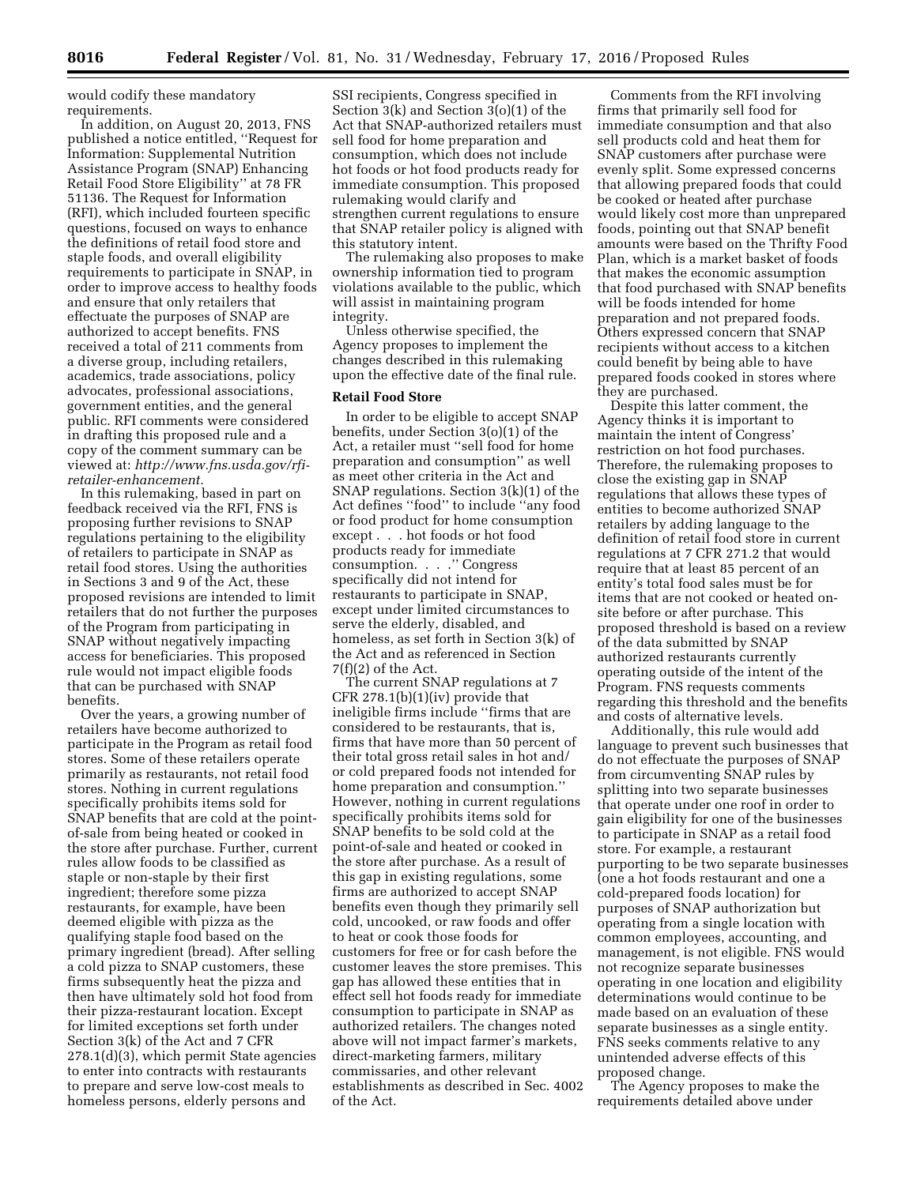would codify these mandatory requirements.

In addition, on August 20, 2013, FNS published a notice entitled, ''Request for Information: Supplemental Nutrition Assistance Program (SNAP) Enhancing Retail Food Store Eligibility'' at 78 FR 51136. The Request for Information (RFI), which included fourteen specific questions, focused on ways to enhance the definitions of retail food store and staple foods, and overall eligibility requirements to participate in SNAP, in order to improve access to healthy foods and ensure that only retailers that effectuate the purposes of SNAP are authorized to accept benefits. FNS received a total of 211 comments from a diverse group, including retailers, academics, trade associations, policy advocates, professional associations, government entities, and the general public. RFI comments were considered in drafting this proposed rule and a copy of the comment summary can be viewed at: *[http://www.fns.usda.gov/rfi](http://www.fns.usda.gov/rfi-retailer-enhancement)[retailer-enhancement.](http://www.fns.usda.gov/rfi-retailer-enhancement)* 

In this rulemaking, based in part on feedback received via the RFI, FNS is proposing further revisions to SNAP regulations pertaining to the eligibility of retailers to participate in SNAP as retail food stores. Using the authorities in Sections 3 and 9 of the Act, these proposed revisions are intended to limit retailers that do not further the purposes of the Program from participating in SNAP without negatively impacting access for beneficiaries. This proposed rule would not impact eligible foods that can be purchased with SNAP benefits.

Over the years, a growing number of retailers have become authorized to participate in the Program as retail food stores. Some of these retailers operate primarily as restaurants, not retail food stores. Nothing in current regulations specifically prohibits items sold for SNAP benefits that are cold at the pointof-sale from being heated or cooked in the store after purchase. Further, current rules allow foods to be classified as staple or non-staple by their first ingredient; therefore some pizza restaurants, for example, have been deemed eligible with pizza as the qualifying staple food based on the primary ingredient (bread). After selling a cold pizza to SNAP customers, these firms subsequently heat the pizza and then have ultimately sold hot food from their pizza-restaurant location. Except for limited exceptions set forth under Section 3(k) of the Act and 7 CFR 278.1(d)(3), which permit State agencies to enter into contracts with restaurants to prepare and serve low-cost meals to homeless persons, elderly persons and

SSI recipients, Congress specified in Section 3(k) and Section 3(o)(1) of the Act that SNAP-authorized retailers must sell food for home preparation and consumption, which does not include hot foods or hot food products ready for immediate consumption. This proposed rulemaking would clarify and strengthen current regulations to ensure that SNAP retailer policy is aligned with this statutory intent.

The rulemaking also proposes to make ownership information tied to program violations available to the public, which will assist in maintaining program integrity.

Unless otherwise specified, the Agency proposes to implement the changes described in this rulemaking upon the effective date of the final rule.

### **Retail Food Store**

In order to be eligible to accept SNAP benefits, under Section 3(o)(1) of the Act, a retailer must ''sell food for home preparation and consumption'' as well as meet other criteria in the Act and SNAP regulations. Section 3(k)(1) of the Act defines ''food'' to include ''any food or food product for home consumption except . . . hot foods or hot food products ready for immediate consumption. . . .'' Congress specifically did not intend for restaurants to participate in SNAP, except under limited circumstances to serve the elderly, disabled, and homeless, as set forth in Section 3(k) of the Act and as referenced in Section  $7(f)(2)$  of the Act.

The current SNAP regulations at 7 CFR 278.1(b)(1)(iv) provide that ineligible firms include ''firms that are considered to be restaurants, that is, firms that have more than 50 percent of their total gross retail sales in hot and/ or cold prepared foods not intended for home preparation and consumption.'' However, nothing in current regulations specifically prohibits items sold for SNAP benefits to be sold cold at the point-of-sale and heated or cooked in the store after purchase. As a result of this gap in existing regulations, some firms are authorized to accept SNAP benefits even though they primarily sell cold, uncooked, or raw foods and offer to heat or cook those foods for customers for free or for cash before the customer leaves the store premises. This gap has allowed these entities that in effect sell hot foods ready for immediate consumption to participate in SNAP as authorized retailers. The changes noted above will not impact farmer's markets, direct-marketing farmers, military commissaries, and other relevant establishments as described in Sec. 4002 of the Act.

Comments from the RFI involving firms that primarily sell food for immediate consumption and that also sell products cold and heat them for SNAP customers after purchase were evenly split. Some expressed concerns that allowing prepared foods that could be cooked or heated after purchase would likely cost more than unprepared foods, pointing out that SNAP benefit amounts were based on the Thrifty Food Plan, which is a market basket of foods that makes the economic assumption that food purchased with SNAP benefits will be foods intended for home preparation and not prepared foods. Others expressed concern that SNAP recipients without access to a kitchen could benefit by being able to have prepared foods cooked in stores where they are purchased.

Despite this latter comment, the Agency thinks it is important to maintain the intent of Congress' restriction on hot food purchases. Therefore, the rulemaking proposes to close the existing gap in SNAP regulations that allows these types of entities to become authorized SNAP retailers by adding language to the definition of retail food store in current regulations at 7 CFR 271.2 that would require that at least 85 percent of an entity's total food sales must be for items that are not cooked or heated onsite before or after purchase. This proposed threshold is based on a review of the data submitted by SNAP authorized restaurants currently operating outside of the intent of the Program. FNS requests comments regarding this threshold and the benefits and costs of alternative levels.

Additionally, this rule would add language to prevent such businesses that do not effectuate the purposes of SNAP from circumventing SNAP rules by splitting into two separate businesses that operate under one roof in order to gain eligibility for one of the businesses to participate in SNAP as a retail food store. For example, a restaurant purporting to be two separate businesses (one a hot foods restaurant and one a cold-prepared foods location) for purposes of SNAP authorization but operating from a single location with common employees, accounting, and management, is not eligible. FNS would not recognize separate businesses operating in one location and eligibility determinations would continue to be made based on an evaluation of these separate businesses as a single entity. FNS seeks comments relative to any unintended adverse effects of this proposed change.

The Agency proposes to make the requirements detailed above under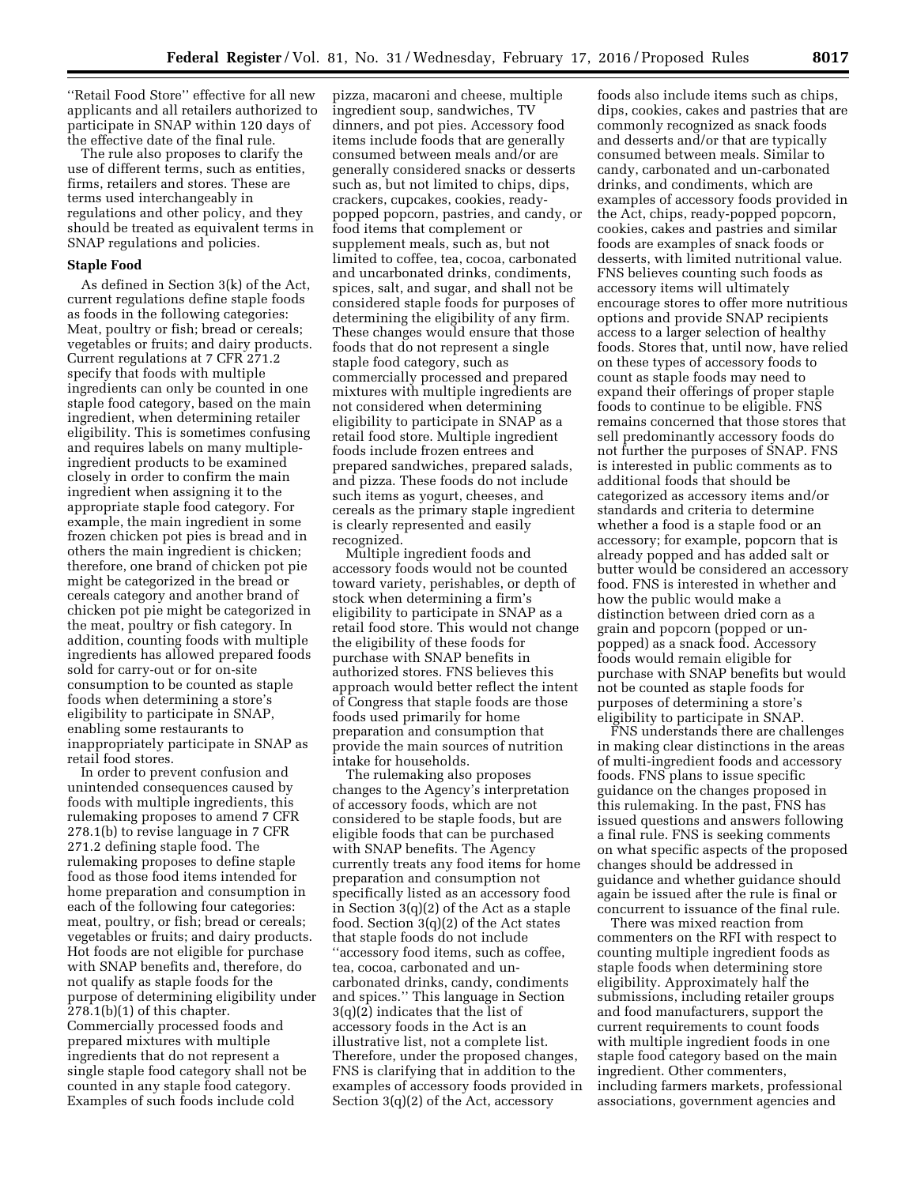''Retail Food Store'' effective for all new applicants and all retailers authorized to participate in SNAP within 120 days of the effective date of the final rule.

The rule also proposes to clarify the use of different terms, such as entities, firms, retailers and stores. These are terms used interchangeably in regulations and other policy, and they should be treated as equivalent terms in SNAP regulations and policies.

#### **Staple Food**

As defined in Section 3(k) of the Act, current regulations define staple foods as foods in the following categories: Meat, poultry or fish; bread or cereals; vegetables or fruits; and dairy products. Current regulations at 7 CFR 271.2 specify that foods with multiple ingredients can only be counted in one staple food category, based on the main ingredient, when determining retailer eligibility. This is sometimes confusing and requires labels on many multipleingredient products to be examined closely in order to confirm the main ingredient when assigning it to the appropriate staple food category. For example, the main ingredient in some frozen chicken pot pies is bread and in others the main ingredient is chicken; therefore, one brand of chicken pot pie might be categorized in the bread or cereals category and another brand of chicken pot pie might be categorized in the meat, poultry or fish category. In addition, counting foods with multiple ingredients has allowed prepared foods sold for carry-out or for on-site consumption to be counted as staple foods when determining a store's eligibility to participate in SNAP, enabling some restaurants to inappropriately participate in SNAP as retail food stores.

In order to prevent confusion and unintended consequences caused by foods with multiple ingredients, this rulemaking proposes to amend 7 CFR 278.1(b) to revise language in 7 CFR 271.2 defining staple food. The rulemaking proposes to define staple food as those food items intended for home preparation and consumption in each of the following four categories: meat, poultry, or fish; bread or cereals; vegetables or fruits; and dairy products. Hot foods are not eligible for purchase with SNAP benefits and, therefore, do not qualify as staple foods for the purpose of determining eligibility under  $278.1(b)(1)$  of this chapter. Commercially processed foods and prepared mixtures with multiple ingredients that do not represent a single staple food category shall not be counted in any staple food category. Examples of such foods include cold

pizza, macaroni and cheese, multiple ingredient soup, sandwiches, TV dinners, and pot pies. Accessory food items include foods that are generally consumed between meals and/or are generally considered snacks or desserts such as, but not limited to chips, dips, crackers, cupcakes, cookies, readypopped popcorn, pastries, and candy, or food items that complement or supplement meals, such as, but not limited to coffee, tea, cocoa, carbonated and uncarbonated drinks, condiments, spices, salt, and sugar, and shall not be considered staple foods for purposes of determining the eligibility of any firm. These changes would ensure that those foods that do not represent a single staple food category, such as commercially processed and prepared mixtures with multiple ingredients are not considered when determining eligibility to participate in SNAP as a retail food store. Multiple ingredient foods include frozen entrees and prepared sandwiches, prepared salads, and pizza. These foods do not include such items as yogurt, cheeses, and cereals as the primary staple ingredient is clearly represented and easily recognized.

Multiple ingredient foods and accessory foods would not be counted toward variety, perishables, or depth of stock when determining a firm's eligibility to participate in SNAP as a retail food store. This would not change the eligibility of these foods for purchase with SNAP benefits in authorized stores. FNS believes this approach would better reflect the intent of Congress that staple foods are those foods used primarily for home preparation and consumption that provide the main sources of nutrition intake for households.

The rulemaking also proposes changes to the Agency's interpretation of accessory foods, which are not considered to be staple foods, but are eligible foods that can be purchased with SNAP benefits. The Agency currently treats any food items for home preparation and consumption not specifically listed as an accessory food in Section 3(q)(2) of the Act as a staple food. Section 3(q)(2) of the Act states that staple foods do not include ''accessory food items, such as coffee, tea, cocoa, carbonated and uncarbonated drinks, candy, condiments and spices.'' This language in Section 3(q)(2) indicates that the list of accessory foods in the Act is an illustrative list, not a complete list. Therefore, under the proposed changes, FNS is clarifying that in addition to the examples of accessory foods provided in Section 3(q)(2) of the Act, accessory

foods also include items such as chips, dips, cookies, cakes and pastries that are commonly recognized as snack foods and desserts and/or that are typically consumed between meals. Similar to candy, carbonated and un-carbonated drinks, and condiments, which are examples of accessory foods provided in the Act, chips, ready-popped popcorn, cookies, cakes and pastries and similar foods are examples of snack foods or desserts, with limited nutritional value. FNS believes counting such foods as accessory items will ultimately encourage stores to offer more nutritious options and provide SNAP recipients access to a larger selection of healthy foods. Stores that, until now, have relied on these types of accessory foods to count as staple foods may need to expand their offerings of proper staple foods to continue to be eligible. FNS remains concerned that those stores that sell predominantly accessory foods do not further the purposes of SNAP. FNS is interested in public comments as to additional foods that should be categorized as accessory items and/or standards and criteria to determine whether a food is a staple food or an accessory; for example, popcorn that is already popped and has added salt or butter would be considered an accessory food. FNS is interested in whether and how the public would make a distinction between dried corn as a grain and popcorn (popped or unpopped) as a snack food. Accessory foods would remain eligible for purchase with SNAP benefits but would not be counted as staple foods for purposes of determining a store's eligibility to participate in SNAP.

FNS understands there are challenges in making clear distinctions in the areas of multi-ingredient foods and accessory foods. FNS plans to issue specific guidance on the changes proposed in this rulemaking. In the past, FNS has issued questions and answers following a final rule. FNS is seeking comments on what specific aspects of the proposed changes should be addressed in guidance and whether guidance should again be issued after the rule is final or concurrent to issuance of the final rule.

There was mixed reaction from commenters on the RFI with respect to counting multiple ingredient foods as staple foods when determining store eligibility. Approximately half the submissions, including retailer groups and food manufacturers, support the current requirements to count foods with multiple ingredient foods in one staple food category based on the main ingredient. Other commenters, including farmers markets, professional associations, government agencies and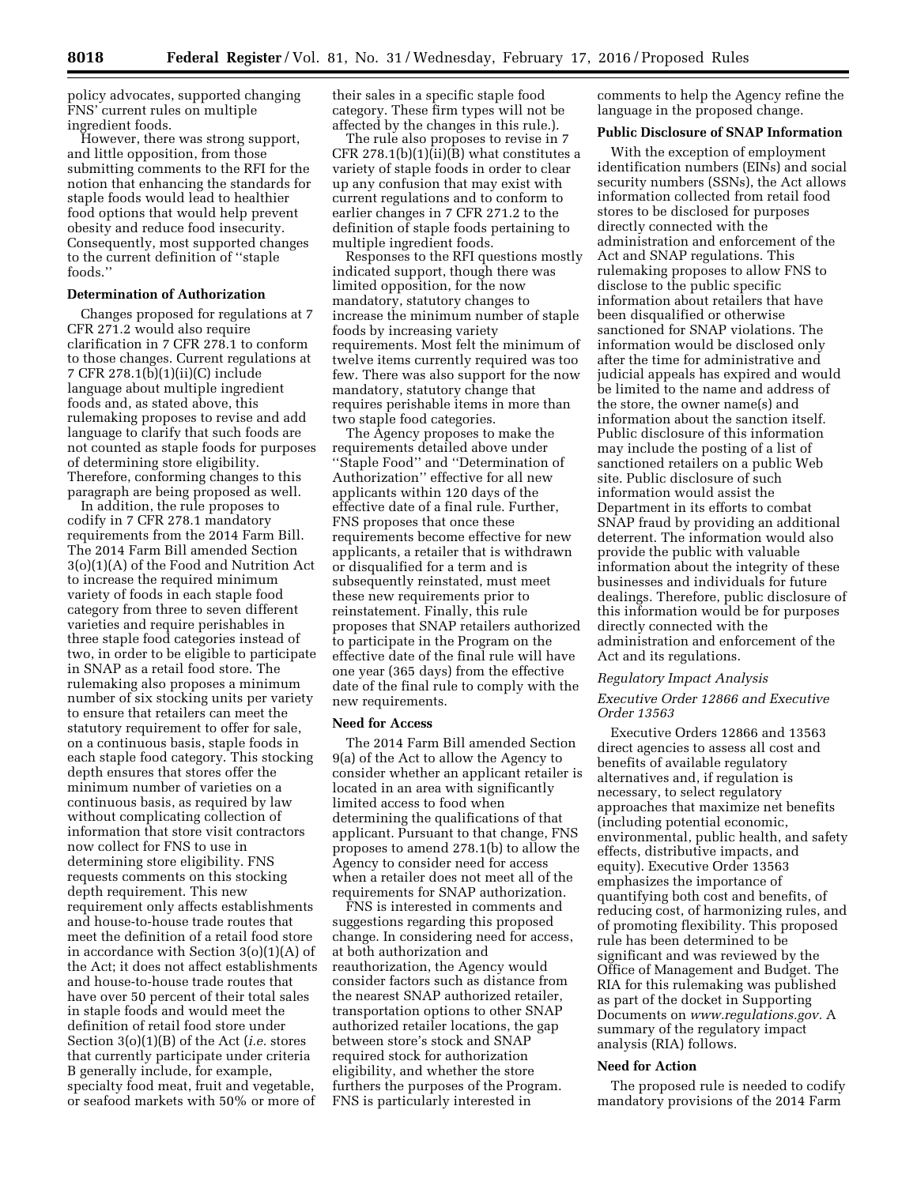policy advocates, supported changing FNS' current rules on multiple ingredient foods.

However, there was strong support, and little opposition, from those submitting comments to the RFI for the notion that enhancing the standards for staple foods would lead to healthier food options that would help prevent obesity and reduce food insecurity. Consequently, most supported changes to the current definition of ''staple foods.''

### **Determination of Authorization**

Changes proposed for regulations at 7 CFR 271.2 would also require clarification in 7 CFR 278.1 to conform to those changes. Current regulations at 7 CFR 278.1(b)(1)(ii)(C) include language about multiple ingredient foods and, as stated above, this rulemaking proposes to revise and add language to clarify that such foods are not counted as staple foods for purposes of determining store eligibility. Therefore, conforming changes to this paragraph are being proposed as well.

In addition, the rule proposes to codify in 7 CFR 278.1 mandatory requirements from the 2014 Farm Bill. The 2014 Farm Bill amended Section 3(o)(1)(A) of the Food and Nutrition Act to increase the required minimum variety of foods in each staple food category from three to seven different varieties and require perishables in three staple food categories instead of two, in order to be eligible to participate in SNAP as a retail food store. The rulemaking also proposes a minimum number of six stocking units per variety to ensure that retailers can meet the statutory requirement to offer for sale, on a continuous basis, staple foods in each staple food category. This stocking depth ensures that stores offer the minimum number of varieties on a continuous basis, as required by law without complicating collection of information that store visit contractors now collect for FNS to use in determining store eligibility. FNS requests comments on this stocking depth requirement. This new requirement only affects establishments and house-to-house trade routes that meet the definition of a retail food store in accordance with Section 3(o)(1)(A) of the Act; it does not affect establishments and house-to-house trade routes that have over 50 percent of their total sales in staple foods and would meet the definition of retail food store under Section 3(o)(1)(B) of the Act (*i.e.* stores that currently participate under criteria B generally include, for example, specialty food meat, fruit and vegetable, or seafood markets with 50% or more of their sales in a specific staple food category. These firm types will not be affected by the changes in this rule.).

The rule also proposes to revise in 7 CFR 278.1(b) $(1)(ii)(B)$  what constitutes a variety of staple foods in order to clear up any confusion that may exist with current regulations and to conform to earlier changes in 7 CFR 271.2 to the definition of staple foods pertaining to multiple ingredient foods.

Responses to the RFI questions mostly indicated support, though there was limited opposition, for the now mandatory, statutory changes to increase the minimum number of staple foods by increasing variety requirements. Most felt the minimum of twelve items currently required was too few. There was also support for the now mandatory, statutory change that requires perishable items in more than two staple food categories.

The Agency proposes to make the requirements detailed above under ''Staple Food'' and ''Determination of Authorization'' effective for all new applicants within 120 days of the effective date of a final rule. Further, FNS proposes that once these requirements become effective for new applicants, a retailer that is withdrawn or disqualified for a term and is subsequently reinstated, must meet these new requirements prior to reinstatement. Finally, this rule proposes that SNAP retailers authorized to participate in the Program on the effective date of the final rule will have one year (365 days) from the effective date of the final rule to comply with the new requirements.

#### **Need for Access**

The 2014 Farm Bill amended Section 9(a) of the Act to allow the Agency to consider whether an applicant retailer is located in an area with significantly limited access to food when determining the qualifications of that applicant. Pursuant to that change, FNS proposes to amend 278.1(b) to allow the Agency to consider need for access when a retailer does not meet all of the requirements for SNAP authorization.

FNS is interested in comments and suggestions regarding this proposed change. In considering need for access, at both authorization and reauthorization, the Agency would consider factors such as distance from the nearest SNAP authorized retailer, transportation options to other SNAP authorized retailer locations, the gap between store's stock and SNAP required stock for authorization eligibility, and whether the store furthers the purposes of the Program. FNS is particularly interested in

comments to help the Agency refine the language in the proposed change.

# **Public Disclosure of SNAP Information**

With the exception of employment identification numbers (EINs) and social security numbers (SSNs), the Act allows information collected from retail food stores to be disclosed for purposes directly connected with the administration and enforcement of the Act and SNAP regulations. This rulemaking proposes to allow FNS to disclose to the public specific information about retailers that have been disqualified or otherwise sanctioned for SNAP violations. The information would be disclosed only after the time for administrative and judicial appeals has expired and would be limited to the name and address of the store, the owner name(s) and information about the sanction itself. Public disclosure of this information may include the posting of a list of sanctioned retailers on a public Web site. Public disclosure of such information would assist the Department in its efforts to combat SNAP fraud by providing an additional deterrent. The information would also provide the public with valuable information about the integrity of these businesses and individuals for future dealings. Therefore, public disclosure of this information would be for purposes directly connected with the administration and enforcement of the Act and its regulations.

#### *Regulatory Impact Analysis*

# *Executive Order 12866 and Executive Order 13563*

Executive Orders 12866 and 13563 direct agencies to assess all cost and benefits of available regulatory alternatives and, if regulation is necessary, to select regulatory approaches that maximize net benefits (including potential economic, environmental, public health, and safety effects, distributive impacts, and equity). Executive Order 13563 emphasizes the importance of quantifying both cost and benefits, of reducing cost, of harmonizing rules, and of promoting flexibility. This proposed rule has been determined to be significant and was reviewed by the Office of Management and Budget. The RIA for this rulemaking was published as part of the docket in Supporting Documents on *[www.regulations.gov.](http://www.regulations.gov)* A summary of the regulatory impact analysis (RIA) follows.

#### **Need for Action**

The proposed rule is needed to codify mandatory provisions of the 2014 Farm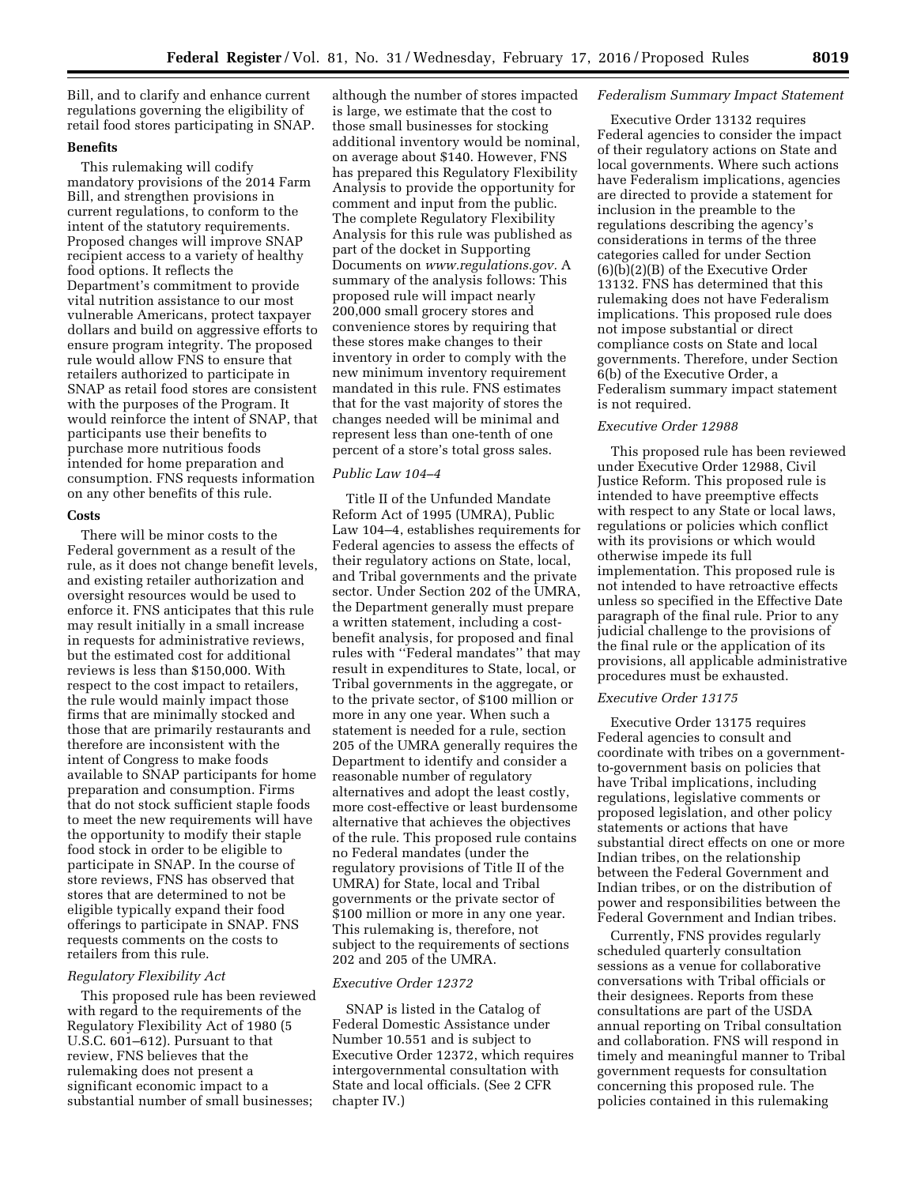Bill, and to clarify and enhance current regulations governing the eligibility of retail food stores participating in SNAP.

# **Benefits**

This rulemaking will codify mandatory provisions of the 2014 Farm Bill, and strengthen provisions in current regulations, to conform to the intent of the statutory requirements. Proposed changes will improve SNAP recipient access to a variety of healthy food options. It reflects the Department's commitment to provide vital nutrition assistance to our most vulnerable Americans, protect taxpayer dollars and build on aggressive efforts to ensure program integrity. The proposed rule would allow FNS to ensure that retailers authorized to participate in SNAP as retail food stores are consistent with the purposes of the Program. It would reinforce the intent of SNAP, that participants use their benefits to purchase more nutritious foods intended for home preparation and consumption. FNS requests information on any other benefits of this rule.

# **Costs**

There will be minor costs to the Federal government as a result of the rule, as it does not change benefit levels, and existing retailer authorization and oversight resources would be used to enforce it. FNS anticipates that this rule may result initially in a small increase in requests for administrative reviews, but the estimated cost for additional reviews is less than \$150,000. With respect to the cost impact to retailers, the rule would mainly impact those firms that are minimally stocked and those that are primarily restaurants and therefore are inconsistent with the intent of Congress to make foods available to SNAP participants for home preparation and consumption. Firms that do not stock sufficient staple foods to meet the new requirements will have the opportunity to modify their staple food stock in order to be eligible to participate in SNAP. In the course of store reviews, FNS has observed that stores that are determined to not be eligible typically expand their food offerings to participate in SNAP. FNS requests comments on the costs to retailers from this rule.

# *Regulatory Flexibility Act*

This proposed rule has been reviewed with regard to the requirements of the Regulatory Flexibility Act of 1980 (5 U.S.C. 601–612). Pursuant to that review, FNS believes that the rulemaking does not present a significant economic impact to a substantial number of small businesses;

although the number of stores impacted is large, we estimate that the cost to those small businesses for stocking additional inventory would be nominal, on average about \$140. However, FNS has prepared this Regulatory Flexibility Analysis to provide the opportunity for comment and input from the public. The complete Regulatory Flexibility Analysis for this rule was published as part of the docket in Supporting Documents on *[www.regulations.gov.](http://www.regulations.gov)* A summary of the analysis follows: This proposed rule will impact nearly 200,000 small grocery stores and convenience stores by requiring that these stores make changes to their inventory in order to comply with the new minimum inventory requirement mandated in this rule. FNS estimates that for the vast majority of stores the changes needed will be minimal and represent less than one-tenth of one percent of a store's total gross sales.

#### *Public Law 104–4*

Title II of the Unfunded Mandate Reform Act of 1995 (UMRA), Public Law 104–4, establishes requirements for Federal agencies to assess the effects of their regulatory actions on State, local, and Tribal governments and the private sector. Under Section 202 of the UMRA, the Department generally must prepare a written statement, including a costbenefit analysis, for proposed and final rules with ''Federal mandates'' that may result in expenditures to State, local, or Tribal governments in the aggregate, or to the private sector, of \$100 million or more in any one year. When such a statement is needed for a rule, section 205 of the UMRA generally requires the Department to identify and consider a reasonable number of regulatory alternatives and adopt the least costly, more cost-effective or least burdensome alternative that achieves the objectives of the rule. This proposed rule contains no Federal mandates (under the regulatory provisions of Title II of the UMRA) for State, local and Tribal governments or the private sector of \$100 million or more in any one year. This rulemaking is, therefore, not subject to the requirements of sections 202 and 205 of the UMRA.

# *Executive Order 12372*

SNAP is listed in the Catalog of Federal Domestic Assistance under Number 10.551 and is subject to Executive Order 12372, which requires intergovernmental consultation with State and local officials. (See 2 CFR chapter IV.)

#### *Federalism Summary Impact Statement*

Executive Order 13132 requires Federal agencies to consider the impact of their regulatory actions on State and local governments. Where such actions have Federalism implications, agencies are directed to provide a statement for inclusion in the preamble to the regulations describing the agency's considerations in terms of the three categories called for under Section (6)(b)(2)(B) of the Executive Order 13132. FNS has determined that this rulemaking does not have Federalism implications. This proposed rule does not impose substantial or direct compliance costs on State and local governments. Therefore, under Section 6(b) of the Executive Order, a Federalism summary impact statement is not required.

#### *Executive Order 12988*

This proposed rule has been reviewed under Executive Order 12988, Civil Justice Reform. This proposed rule is intended to have preemptive effects with respect to any State or local laws, regulations or policies which conflict with its provisions or which would otherwise impede its full implementation. This proposed rule is not intended to have retroactive effects unless so specified in the Effective Date paragraph of the final rule. Prior to any judicial challenge to the provisions of the final rule or the application of its provisions, all applicable administrative procedures must be exhausted.

#### *Executive Order 13175*

Executive Order 13175 requires Federal agencies to consult and coordinate with tribes on a governmentto-government basis on policies that have Tribal implications, including regulations, legislative comments or proposed legislation, and other policy statements or actions that have substantial direct effects on one or more Indian tribes, on the relationship between the Federal Government and Indian tribes, or on the distribution of power and responsibilities between the Federal Government and Indian tribes.

Currently, FNS provides regularly scheduled quarterly consultation sessions as a venue for collaborative conversations with Tribal officials or their designees. Reports from these consultations are part of the USDA annual reporting on Tribal consultation and collaboration. FNS will respond in timely and meaningful manner to Tribal government requests for consultation concerning this proposed rule. The policies contained in this rulemaking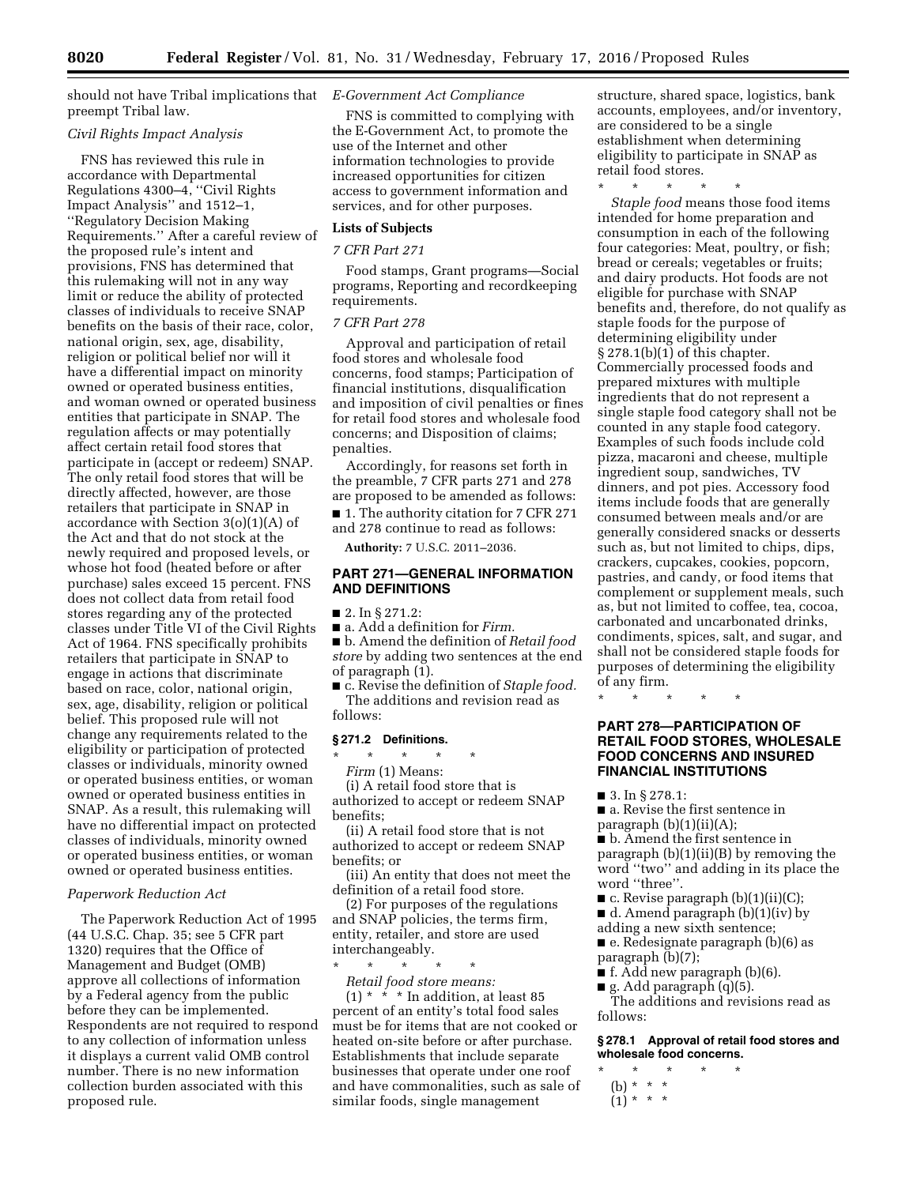should not have Tribal implications that *E-Government Act Compliance*  preempt Tribal law.

# *Civil Rights Impact Analysis*

FNS has reviewed this rule in accordance with Departmental Regulations 4300–4, ''Civil Rights Impact Analysis'' and 1512–1, ''Regulatory Decision Making Requirements.'' After a careful review of the proposed rule's intent and provisions, FNS has determined that this rulemaking will not in any way limit or reduce the ability of protected classes of individuals to receive SNAP benefits on the basis of their race, color, national origin, sex, age, disability, religion or political belief nor will it have a differential impact on minority owned or operated business entities, and woman owned or operated business entities that participate in SNAP. The regulation affects or may potentially affect certain retail food stores that participate in (accept or redeem) SNAP. The only retail food stores that will be directly affected, however, are those retailers that participate in SNAP in accordance with Section 3(o)(1)(A) of the Act and that do not stock at the newly required and proposed levels, or whose hot food (heated before or after purchase) sales exceed 15 percent. FNS does not collect data from retail food stores regarding any of the protected classes under Title VI of the Civil Rights Act of 1964. FNS specifically prohibits retailers that participate in SNAP to engage in actions that discriminate based on race, color, national origin, sex, age, disability, religion or political belief. This proposed rule will not change any requirements related to the eligibility or participation of protected classes or individuals, minority owned or operated business entities, or woman owned or operated business entities in SNAP. As a result, this rulemaking will have no differential impact on protected classes of individuals, minority owned or operated business entities, or woman owned or operated business entities.

# *Paperwork Reduction Act*

The Paperwork Reduction Act of 1995 (44 U.S.C. Chap. 35; see 5 CFR part 1320) requires that the Office of Management and Budget (OMB) approve all collections of information by a Federal agency from the public before they can be implemented. Respondents are not required to respond to any collection of information unless it displays a current valid OMB control number. There is no new information collection burden associated with this proposed rule.

FNS is committed to complying with the E-Government Act, to promote the use of the Internet and other information technologies to provide increased opportunities for citizen access to government information and services, and for other purposes.

# **Lists of Subjects**

# *7 CFR Part 271*

Food stamps, Grant programs—Social programs, Reporting and recordkeeping requirements.

# *7 CFR Part 278*

Approval and participation of retail food stores and wholesale food concerns, food stamps; Participation of financial institutions, disqualification and imposition of civil penalties or fines for retail food stores and wholesale food concerns; and Disposition of claims; penalties.

Accordingly, for reasons set forth in the preamble, 7 CFR parts 271 and 278 are proposed to be amended as follows:

■ 1. The authority citation for 7 CFR 271 and 278 continue to read as follows:

**Authority:** 7 U.S.C. 2011–2036.

# **PART 271—GENERAL INFORMATION AND DEFINITIONS**

# ■ 2. In § 271.2:

■ a. Add a definition for *Firm.* 

■ b. Amend the definition of *Retail food store* by adding two sentences at the end of paragraph (1).

■ c. Revise the definition of *Staple food*. The additions and revision read as follows:

# **§ 271.2 Definitions.**

\* \* \* \* \*

*Firm* (1) Means:

(i) A retail food store that is authorized to accept or redeem SNAP benefits;

(ii) A retail food store that is not authorized to accept or redeem SNAP benefits; or

(iii) An entity that does not meet the definition of a retail food store.

(2) For purposes of the regulations and SNAP policies, the terms firm, entity, retailer, and store are used interchangeably.

\* \* \* \* \* *Retail food store means:* 

 $(1)$  \* \* \* In addition, at least 85 percent of an entity's total food sales must be for items that are not cooked or heated on-site before or after purchase. Establishments that include separate businesses that operate under one roof and have commonalities, such as sale of similar foods, single management

structure, shared space, logistics, bank accounts, employees, and/or inventory, are considered to be a single establishment when determining eligibility to participate in SNAP as retail food stores.

\* \* \* \* \*

*Staple food* means those food items intended for home preparation and consumption in each of the following four categories: Meat, poultry, or fish; bread or cereals; vegetables or fruits; and dairy products. Hot foods are not eligible for purchase with SNAP benefits and, therefore, do not qualify as staple foods for the purpose of determining eligibility under § 278.1(b)(1) of this chapter. Commercially processed foods and prepared mixtures with multiple ingredients that do not represent a single staple food category shall not be counted in any staple food category. Examples of such foods include cold pizza, macaroni and cheese, multiple ingredient soup, sandwiches, TV dinners, and pot pies. Accessory food items include foods that are generally consumed between meals and/or are generally considered snacks or desserts such as, but not limited to chips, dips, crackers, cupcakes, cookies, popcorn, pastries, and candy, or food items that complement or supplement meals, such as, but not limited to coffee, tea, cocoa, carbonated and uncarbonated drinks, condiments, spices, salt, and sugar, and shall not be considered staple foods for purposes of determining the eligibility of any firm.

\* \* \* \* \*

# **PART 278—PARTICIPATION OF RETAIL FOOD STORES, WHOLESALE FOOD CONCERNS AND INSURED FINANCIAL INSTITUTIONS**

■ 3. In § 278.1:

■ a. Revise the first sentence in paragraph  $(b)(1)(ii)(A);$ 

■ b. Amend the first sentence in paragraph (b)(1)(ii)(B) by removing the word ''two'' and adding in its place the word ''three''.

■ c. Revise paragraph (b)(1)(ii)(C);

■ d. Amend paragraph (b)(1)(iv) by

adding a new sixth sentence;

■ e. Redesignate paragraph (b)(6) as paragraph (b)(7);

- **f**. Add new paragraph  $(b)(6)$ .
- $\blacksquare$  g. Add paragraph (q)(5).

The additions and revisions read as follows:

**§ 278.1 Approval of retail food stores and wholesale food concerns.** 

- \* \* \* \* \*
- (b) \* \* \*
- $(1) * * * *$